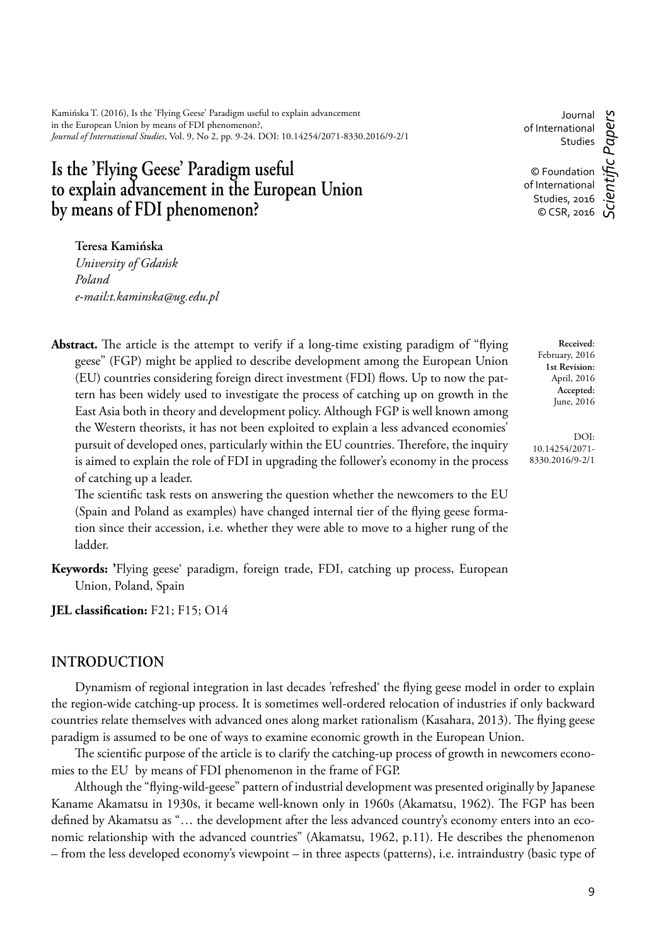Kamińska T. (2016), Is the 'Flying Geese' Paradigm useful to explain advancement in the European Union by means of FDI phenomenon?, *Journal of International Studies*, Vol. 9, No 2, pp. 9-24. DOI: 10.14254/2071-8330.2016/9-2/1

# **Is the 'Flying Geese' Paradigm useful to explain advancement in the European Union by means of FDI phenomenon?**

Journal of International Studies

c Papers *Scientifi c Papers* © Foundation of International Studies, 2016 © CSR, 2016

**Teresa Kamińska**

*University of Gdańsk Poland e-mail:t.kaminska@ug.edu.pl*

**Abstract.** The article is the attempt to verify if a long-time existing paradigm of "flying geese" (FGP) might be applied to describe development among the European Union (EU) countries considering foreign direct investment (FDI) flows. Up to now the pattern has been widely used to investigate the process of catching up on growth in the East Asia both in theory and development policy. Although FGP is well known among the Western theorists, it has not been exploited to explain a less advanced economies' pursuit of developed ones, particularly within the EU countries. Therefore, the inquiry is aimed to explain the role of FDI in upgrading the follower's economy in the process of catching up a leader.

The scientific task rests on answering the question whether the newcomers to the EU (Spain and Poland as examples) have changed internal tier of the flying geese formation since their accession, i.e. whether they were able to move to a higher rung of the ladder.

**Keywords: '**Flying geese' paradigm, foreign trade, FDI, catching up process, European Union, Poland, Spain

**JEL classification:** F21; F15; O14

## **INTRODUCTION**

Dynamism of regional integration in last decades 'refreshed' the flying geese model in order to explain the region-wide catching-up process. It is sometimes well-ordered relocation of industries if only backward countries relate themselves with advanced ones along market rationalism (Kasahara, 2013). The flying geese paradigm is assumed to be one of ways to examine economic growth in the European Union.

The scientific purpose of the article is to clarify the catching-up process of growth in newcomers economies to the EU by means of FDI phenomenon in the frame of FGP.

Although the "flying-wild-geese" pattern of industrial development was presented originally by Japanese Kaname Akamatsu in 1930s, it became well-known only in 1960s (Akamatsu, 1962). The FGP has been defined by Akamatsu as "... the development after the less advanced country's economy enters into an economic relationship with the advanced countries" (Akamatsu, 1962, p.11). He describes the phenomenon – from the less developed economy's viewpoint – in three aspects (patterns), i.e. intraindustry (basic type of

**Accepted:** June, 2016 DOI:

**Received**: February, 2016 **1st Revision:** April, 2016

10.14254/2071- 8330.2016/9-2/1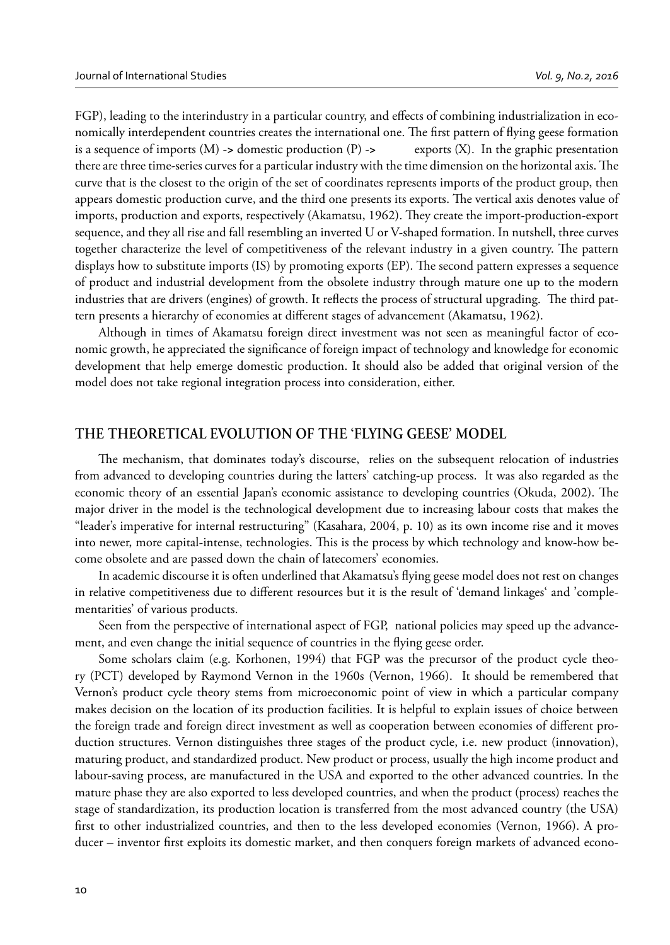FGP), leading to the interindustry in a particular country, and effects of combining industrialization in economically interdependent countries creates the international one. The first pattern of flying geese formation is a sequence of imports (M) -**>** domestic production (P) -**>** exports (X). In the graphic presentation there are three time-series curves for a particular industry with the time dimension on the horizontal axis. The curve that is the closest to the origin of the set of coordinates represents imports of the product group, then appears domestic production curve, and the third one presents its exports. The vertical axis denotes value of imports, production and exports, respectively (Akamatsu, 1962). They create the import-production-export sequence, and they all rise and fall resembling an inverted U or V-shaped formation. In nutshell, three curves together characterize the level of competitiveness of the relevant industry in a given country. The pattern displays how to substitute imports (IS) by promoting exports (EP). The second pattern expresses a sequence of product and industrial development from the obsolete industry through mature one up to the modern industries that are drivers (engines) of growth. It reflects the process of structural upgrading. The third pattern presents a hierarchy of economies at different stages of advancement (Akamatsu, 1962).

Although in times of Akamatsu foreign direct investment was not seen as meaningful factor of economic growth, he appreciated the significance of foreign impact of technology and knowledge for economic development that help emerge domestic production. It should also be added that original version of the model does not take regional integration process into consideration, either.

# **THE THEORETICAL EVOLUTION OF THE 'FLYING GEESE' MODEL**

The mechanism, that dominates today's discourse, relies on the subsequent relocation of industries from advanced to developing countries during the latters' catching-up process. It was also regarded as the economic theory of an essential Japan's economic assistance to developing countries (Okuda, 2002). The major driver in the model is the technological development due to increasing labour costs that makes the "leader's imperative for internal restructuring" (Kasahara, 2004, p. 10) as its own income rise and it moves into newer, more capital-intense, technologies. This is the process by which technology and know-how become obsolete and are passed down the chain of latecomers' economies.

In academic discourse it is often underlined that Akamatsu's flying geese model does not rest on changes in relative competitiveness due to different resources but it is the result of 'demand linkages' and 'complementarities' of various products.

Seen from the perspective of international aspect of FGP, national policies may speed up the advancement, and even change the initial sequence of countries in the flying geese order.

Some scholars claim (e.g. Korhonen, 1994) that FGP was the precursor of the product cycle theory (PCT) developed by Raymond Vernon in the 1960s (Vernon, 1966). It should be remembered that Vernon's product cycle theory stems from microeconomic point of view in which a particular company makes decision on the location of its production facilities. It is helpful to explain issues of choice between the foreign trade and foreign direct investment as well as cooperation between economies of different production structures. Vernon distinguishes three stages of the product cycle, i.e. new product (innovation), maturing product, and standardized product. New product or process, usually the high income product and labour-saving process, are manufactured in the USA and exported to the other advanced countries. In the mature phase they are also exported to less developed countries, and when the product (process) reaches the stage of standardization, its production location is transferred from the most advanced country (the USA) first to other industrialized countries, and then to the less developed economies (Vernon, 1966). A producer – inventor first exploits its domestic market, and then conquers foreign markets of advanced econo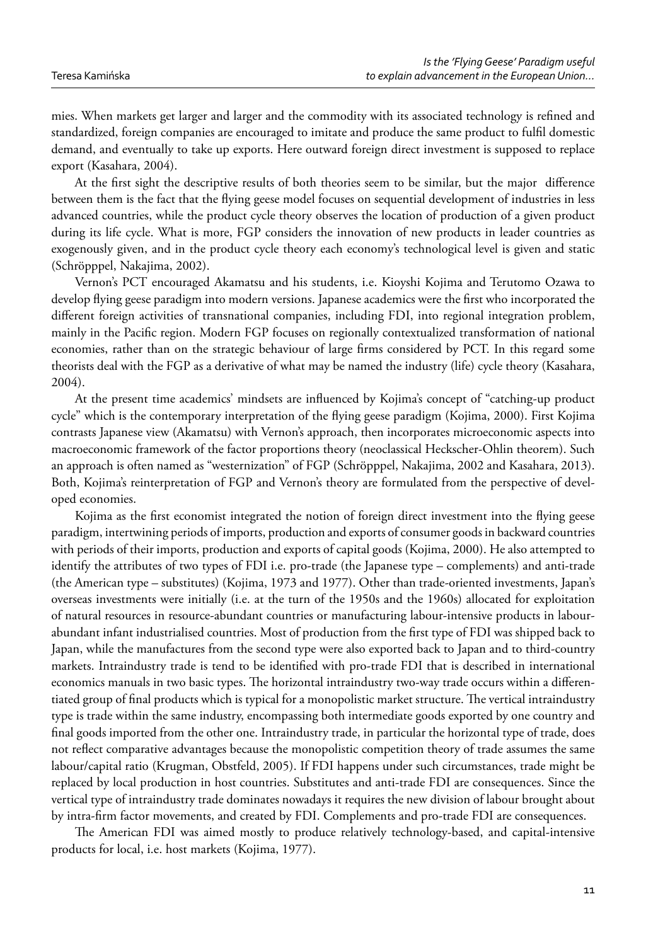mies. When markets get larger and larger and the commodity with its associated technology is refined and standardized, foreign companies are encouraged to imitate and produce the same product to fulfi l domestic demand, and eventually to take up exports. Here outward foreign direct investment is supposed to replace export (Kasahara, 2004).

At the first sight the descriptive results of both theories seem to be similar, but the major difference between them is the fact that the flying geese model focuses on sequential development of industries in less advanced countries, while the product cycle theory observes the location of production of a given product during its life cycle. What is more, FGP considers the innovation of new products in leader countries as exogenously given, and in the product cycle theory each economy's technological level is given and static (Schröpppel, Nakajima, 2002).

Vernon's PCT encouraged Akamatsu and his students, i.e. Kioyshi Kojima and Terutomo Ozawa to develop flying geese paradigm into modern versions. Japanese academics were the first who incorporated the different foreign activities of transnational companies, including FDI, into regional integration problem, mainly in the Pacific region. Modern FGP focuses on regionally contextualized transformation of national economies, rather than on the strategic behaviour of large firms considered by PCT. In this regard some theorists deal with the FGP as a derivative of what may be named the industry (life) cycle theory (Kasahara, 2004).

At the present time academics' mindsets are influenced by Kojima's concept of "catching-up product" cycle" which is the contemporary interpretation of the flying geese paradigm (Kojima, 2000). First Kojima contrasts Japanese view (Akamatsu) with Vernon's approach, then incorporates microeconomic aspects into macroeconomic framework of the factor proportions theory (neoclassical Heckscher-Ohlin theorem). Such an approach is often named as "westernization" of FGP (Schröpppel, Nakajima, 2002 and Kasahara, 2013). Both, Kojima's reinterpretation of FGP and Vernon's theory are formulated from the perspective of developed economies.

Kojima as the first economist integrated the notion of foreign direct investment into the flying geese paradigm, intertwining periods of imports, production and exports of consumer goods in backward countries with periods of their imports, production and exports of capital goods (Kojima, 2000). He also attempted to identify the attributes of two types of FDI i.e. pro-trade (the Japanese type – complements) and anti-trade (the American type – substitutes) (Kojima, 1973 and 1977). Other than trade-oriented investments, Japan's overseas investments were initially (i.e. at the turn of the 1950s and the 1960s) allocated for exploitation of natural resources in resource-abundant countries or manufacturing labour-intensive products in labourabundant infant industrialised countries. Most of production from the first type of FDI was shipped back to Japan, while the manufactures from the second type were also exported back to Japan and to third-country markets. Intraindustry trade is tend to be identified with pro-trade FDI that is described in international economics manuals in two basic types. The horizontal intraindustry two-way trade occurs within a differentiated group of final products which is typical for a monopolistic market structure. The vertical intraindustry type is trade within the same industry, encompassing both intermediate goods exported by one country and final goods imported from the other one. Intraindustry trade, in particular the horizontal type of trade, does not reflect comparative advantages because the monopolistic competition theory of trade assumes the same labour/capital ratio (Krugman, Obstfeld, 2005). If FDI happens under such circumstances, trade might be replaced by local production in host countries. Substitutes and anti-trade FDI are consequences. Since the vertical type of intraindustry trade dominates nowadays it requires the new division of labour brought about by intra-firm factor movements, and created by FDI. Complements and pro-trade FDI are consequences.

The American FDI was aimed mostly to produce relatively technology-based, and capital-intensive products for local, i.e. host markets (Kojima, 1977).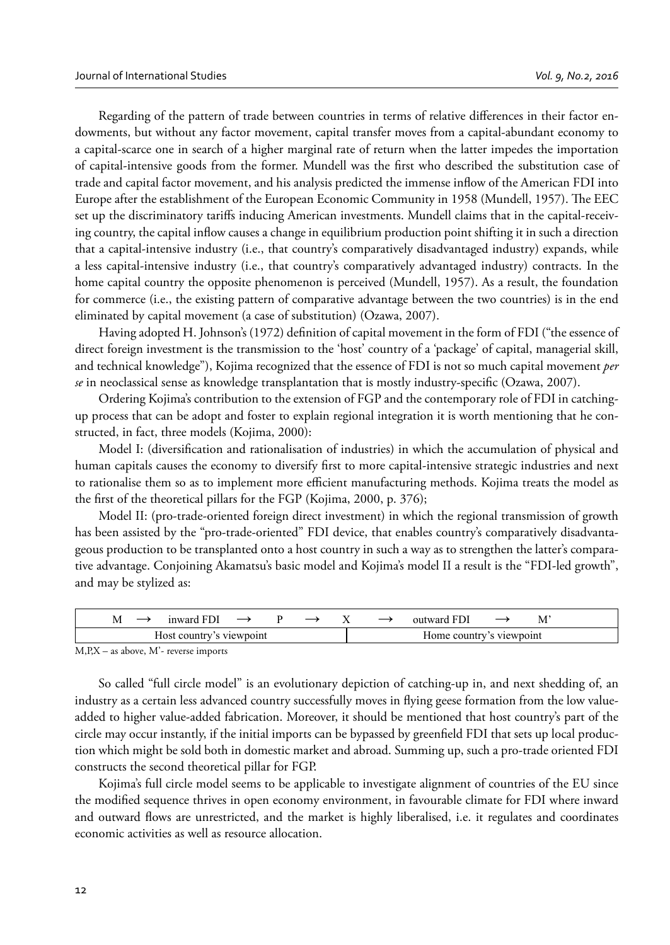Regarding of the pattern of trade between countries in terms of relative differences in their factor endowments, but without any factor movement, capital transfer moves from a capital-abundant economy to a capital-scarce one in search of a higher marginal rate of return when the latter impedes the importation of capital-intensive goods from the former. Mundell was the first who described the substitution case of trade and capital factor movement, and his analysis predicted the immense inflow of the American FDI into Europe after the establishment of the European Economic Community in 1958 (Mundell, 1957). The EEC set up the discriminatory tariffs inducing American investments. Mundell claims that in the capital-receiving country, the capital inflow causes a change in equilibrium production point shifting it in such a direction that a capital-intensive industry (i.e., that country's comparatively disadvantaged industry) expands, while a less capital-intensive industry (i.e., that country's comparatively advantaged industry) contracts. In the home capital country the opposite phenomenon is perceived (Mundell, 1957). As a result, the foundation for commerce (i.e., the existing pattern of comparative advantage between the two countries) is in the end eliminated by capital movement (a case of substitution) (Ozawa, 2007).

Having adopted H. Johnson's (1972) definition of capital movement in the form of FDI ("the essence of direct foreign investment is the transmission to the 'host' country of a 'package' of capital, managerial skill, and technical knowledge"), Kojima recognized that the essence of FDI is not so much capital movement *per se* in neoclassical sense as knowledge transplantation that is mostly industry-specific (Ozawa, 2007).

Ordering Kojima's contribution to the extension of FGP and the contemporary role of FDI in catchingup process that can be adopt and foster to explain regional integration it is worth mentioning that he constructed, in fact, three models (Kojima, 2000):

Model I: (diversification and rationalisation of industries) in which the accumulation of physical and human capitals causes the economy to diversify first to more capital-intensive strategic industries and next to rationalise them so as to implement more efficient manufacturing methods. Kojima treats the model as the first of the theoretical pillars for the FGP (Kojima, 2000, p. 376);

Model II: (pro-trade-oriented foreign direct investment) in which the regional transmission of growth has been assisted by the "pro-trade-oriented" FDI device, that enables country's comparatively disadvantageous production to be transplanted onto a host country in such a way as to strengthen the latter's comparative advantage. Conjoining Akamatsu's basic model and Kojima's model II a result is the "FDI-led growth", and may be stylized as:

| inward<br>M                      |  |  |  | tward<br>201 |           | <b>IVI</b> |
|----------------------------------|--|--|--|--------------|-----------|------------|
| <b>Viewnoint</b><br>Host country |  |  |  | Home country | viewpoint |            |

M,P,X – as above, M'- reverse imports

So called "full circle model" is an evolutionary depiction of catching-up in, and next shedding of, an industry as a certain less advanced country successfully moves in flying geese formation from the low valueadded to higher value-added fabrication. Moreover, it should be mentioned that host country's part of the circle may occur instantly, if the initial imports can be bypassed by greenfield FDI that sets up local production which might be sold both in domestic market and abroad. Summing up, such a pro-trade oriented FDI constructs the second theoretical pillar for FGP.

Kojima's full circle model seems to be applicable to investigate alignment of countries of the EU since the modified sequence thrives in open economy environment, in favourable climate for FDI where inward and outward flows are unrestricted, and the market is highly liberalised, i.e. it regulates and coordinates economic activities as well as resource allocation.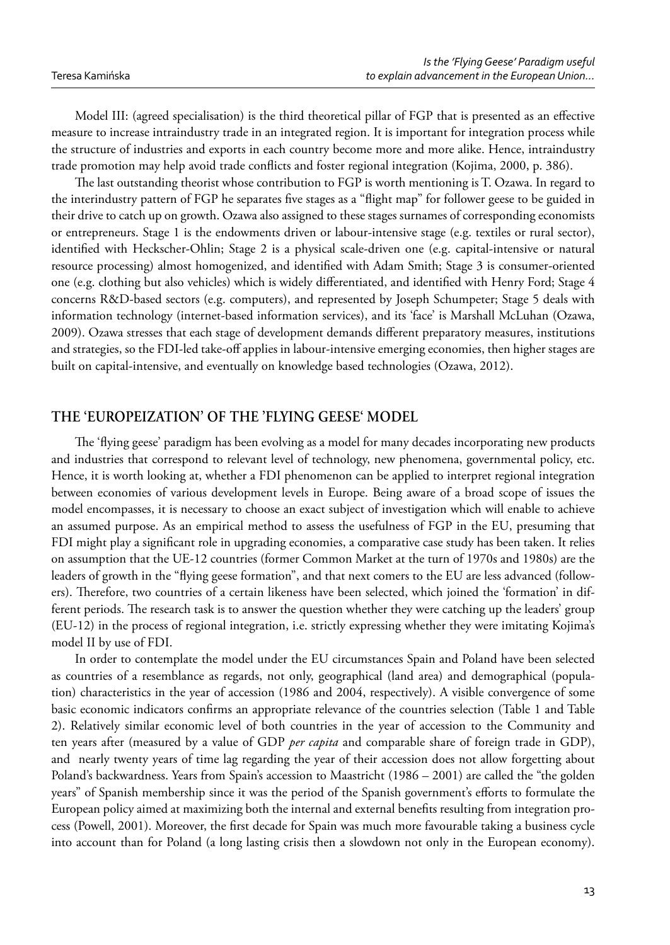Model III: (agreed specialisation) is the third theoretical pillar of FGP that is presented as an effective measure to increase intraindustry trade in an integrated region. It is important for integration process while the structure of industries and exports in each country become more and more alike. Hence, intraindustry trade promotion may help avoid trade conflicts and foster regional integration (Kojima, 2000, p. 386).

The last outstanding theorist whose contribution to FGP is worth mentioning is T. Ozawa. In regard to the interindustry pattern of FGP he separates five stages as a "flight map" for follower geese to be guided in their drive to catch up on growth. Ozawa also assigned to these stages surnames of corresponding economists or entrepreneurs. Stage 1 is the endowments driven or labour-intensive stage (e.g. textiles or rural sector), identified with Heckscher-Ohlin; Stage 2 is a physical scale-driven one (e.g. capital-intensive or natural resource processing) almost homogenized, and identified with Adam Smith; Stage 3 is consumer-oriented one (e.g. clothing but also vehicles) which is widely differentiated, and identified with Henry Ford; Stage 4 concerns R&D-based sectors (e.g. computers), and represented by Joseph Schumpeter; Stage 5 deals with information technology (internet-based information services), and its 'face' is Marshall McLuhan (Ozawa, 2009). Ozawa stresses that each stage of development demands different preparatory measures, institutions and strategies, so the FDI-led take-off applies in labour-intensive emerging economies, then higher stages are built on capital-intensive, and eventually on knowledge based technologies (Ozawa, 2012).

# **THE 'EUROPEIZATION' OF THE 'FLYING GEESE' MODEL**

The 'flying geese' paradigm has been evolving as a model for many decades incorporating new products and industries that correspond to relevant level of technology, new phenomena, governmental policy, etc. Hence, it is worth looking at, whether a FDI phenomenon can be applied to interpret regional integration between economies of various development levels in Europe. Being aware of a broad scope of issues the model encompasses, it is necessary to choose an exact subject of investigation which will enable to achieve an assumed purpose. As an empirical method to assess the usefulness of FGP in the EU, presuming that FDI might play a significant role in upgrading economies, a comparative case study has been taken. It relies on assumption that the UE-12 countries (former Common Market at the turn of 1970s and 1980s) are the leaders of growth in the "flying geese formation", and that next comers to the EU are less advanced (followers). Therefore, two countries of a certain likeness have been selected, which joined the 'formation' in different periods. The research task is to answer the question whether they were catching up the leaders' group (EU-12) in the process of regional integration, i.e. strictly expressing whether they were imitating Kojima's model II by use of FDI.

In order to contemplate the model under the EU circumstances Spain and Poland have been selected as countries of a resemblance as regards, not only, geographical (land area) and demographical (population) characteristics in the year of accession (1986 and 2004, respectively). A visible convergence of some basic economic indicators confirms an appropriate relevance of the countries selection (Table 1 and Table 2). Relatively similar economic level of both countries in the year of accession to the Community and ten years after (measured by a value of GDP *per capita* and comparable share of foreign trade in GDP), and nearly twenty years of time lag regarding the year of their accession does not allow forgetting about Poland's backwardness. Years from Spain's accession to Maastricht (1986 – 2001) are called the "the golden years" of Spanish membership since it was the period of the Spanish government's efforts to formulate the European policy aimed at maximizing both the internal and external benefits resulting from integration process (Powell, 2001). Moreover, the first decade for Spain was much more favourable taking a business cycle into account than for Poland (a long lasting crisis then a slowdown not only in the European economy).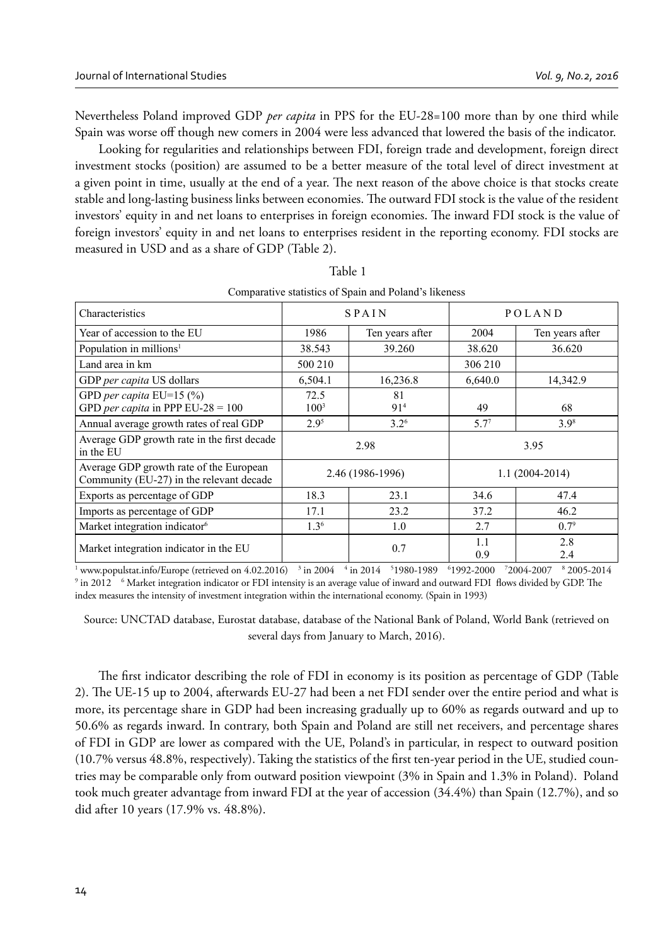Nevertheless Poland improved GDP *per capita* in PPS for the EU-28=100 more than by one third while Spain was worse off though new comers in 2004 were less advanced that lowered the basis of the indicator.

Looking for regularities and relationships between FDI, foreign trade and development, foreign direct investment stocks (position) are assumed to be a better measure of the total level of direct investment at a given point in time, usually at the end of a year. The next reason of the above choice is that stocks create stable and long-lasting business links between economies. The outward FDI stock is the value of the resident investors' equity in and net loans to enterprises in foreign economies. The inward FDI stock is the value of foreign investors' equity in and net loans to enterprises resident in the reporting economy. FDI stocks are measured in USD and as a share of GDP (Table 2).

| Characteristics                                                                     |                 | <b>SPAIN</b>          |            | POLAND             |  |
|-------------------------------------------------------------------------------------|-----------------|-----------------------|------------|--------------------|--|
| Year of accession to the EU                                                         | 1986            | Ten years after       | 2004       | Ten years after    |  |
| Population in millions <sup>1</sup>                                                 | 38.543          | 39.260                | 38.620     | 36.620             |  |
| Land area in km                                                                     | 500 210         |                       | 306 210    |                    |  |
| GDP per capita US dollars                                                           | 6,504.1         | 16,236.8              | 6,640.0    | 14,342.9           |  |
| GPD per capita $EU=15$ (%)<br>GPD per capita in PPP EU-28 = $100$                   | 72.5<br>$100^3$ | 81<br>91 <sup>4</sup> | 49         | 68                 |  |
| Annual average growth rates of real GDP                                             | $2.9^{\circ}$   | $3.2^{6}$             | $5.7^{7}$  | 3.9 <sup>8</sup>   |  |
| Average GDP growth rate in the first decade<br>in the EU                            |                 | 2.98                  | 3.95       |                    |  |
| Average GDP growth rate of the European<br>Community (EU-27) in the relevant decade |                 | 2.46 (1986-1996)      |            | $1.1(2004 - 2014)$ |  |
| Exports as percentage of GDP                                                        | 18.3            | 23.1                  | 34.6       | 47.4               |  |
| Imports as percentage of GDP                                                        | 17.1            | 23.2                  | 37.2       | 46.2               |  |
| Market integration indicator <sup>6</sup>                                           | $1.3^{6}$       | 1.0                   | 2.7        | $0.7^9$            |  |
| Market integration indicator in the EU                                              |                 | 0.7                   | 1.1<br>0.9 | 2.8<br>2.4         |  |

| Table 1                                               |  |
|-------------------------------------------------------|--|
| Comparative statistics of Spain and Poland's likeness |  |

 $^1$  www.populstat.info/Europe (retrieved on 4.02.2016)  $^{-3}$  in 2004  $^{-4}$  in 2014  $^{-5}$ 1980-1989  $^{-6}$ 1992-2000  $^{-7}$ 2004-2007  $^{-8}$  2005-2014<br> $^9$  in 2012  $^{-6}$  Market integration indicator or EDI intensity is an avera in 2012 <sup>6</sup> Market integration indicator or FDI intensity is an average value of inward and outward FDI flows divided by GDP. The index measures the intensity of investment integration within the international economy. (Spain in 1993)

Source: UNCTAD database, Eurostat database, database of the National Bank of Poland, World Bank (retrieved on several days from January to March, 2016).

The first indicator describing the role of FDI in economy is its position as percentage of GDP (Table 2). The UE-15 up to 2004, afterwards EU-27 had been a net FDI sender over the entire period and what is more, its percentage share in GDP had been increasing gradually up to 60% as regards outward and up to 50.6% as regards inward. In contrary, both Spain and Poland are still net receivers, and percentage shares of FDI in GDP are lower as compared with the UE, Poland's in particular, in respect to outward position (10.7% versus 48.8%, respectively). Taking the statistics of the first ten-year period in the UE, studied countries may be comparable only from outward position viewpoint (3% in Spain and 1.3% in Poland). Poland took much greater advantage from inward FDI at the year of accession (34.4%) than Spain (12.7%), and so did after 10 years (17.9% vs. 48.8%).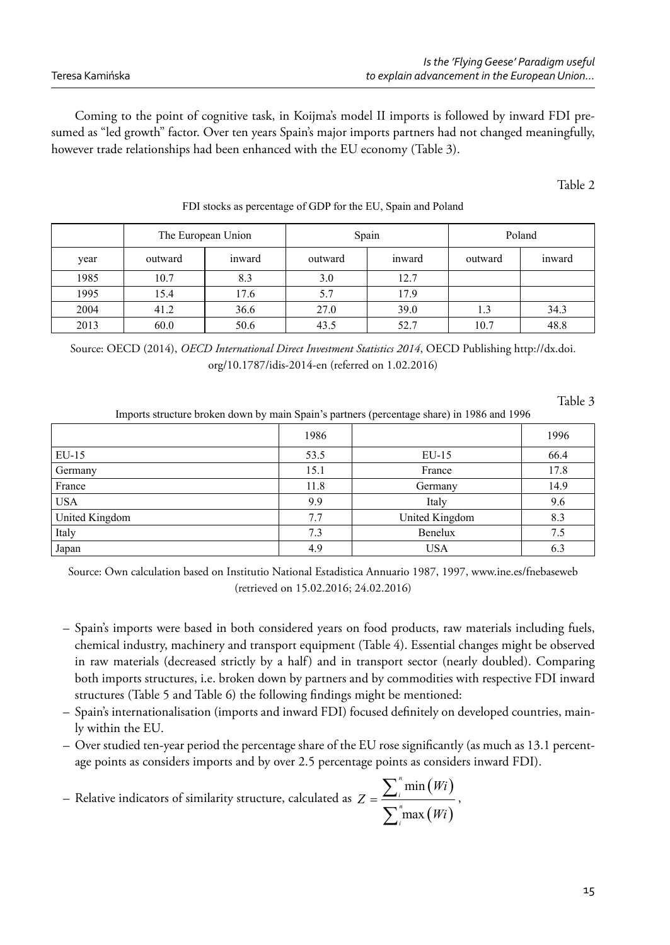Coming to the point of cognitive task, in Koijma's model II imports is followed by inward FDI presumed as "led growth" factor. Over ten years Spain's major imports partners had not changed meaningfully, however trade relationships had been enhanced with the EU economy (Table 3).

Table 2

|      |         | The European Union | Spain   |        | Poland  |        |
|------|---------|--------------------|---------|--------|---------|--------|
| year | outward | inward             | outward | inward | outward | inward |
| 1985 | 10.7    | 8.3                | 3.0     | 12.7   |         |        |
| 1995 | 15.4    | 17.6               | 5.7     | 17.9   |         |        |
| 2004 | 41.2    | 36.6               | 27.0    | 39.0   |         | 34.3   |
| 2013 | 60.0    | 50.6               | 43.5    | 52.7   | 10.7    | 48.8   |

FDI stocks as percentage of GDP for the EU, Spain and Poland

Source: OECD (2014), *OECD International Direct Investment Statistics 2014*, OECD Publishing http://dx.doi. org/10.1787/idis-2014-en (referred on 1.02.2016)

Table 3

Imports structure broken down by main Spain's partners (percentage share) in 1986 and 1996

|                | 1986 |                | 1996 |
|----------------|------|----------------|------|
| $EU-15$        | 53.5 | $EU-15$        | 66.4 |
| Germany        | 15.1 | France         | 17.8 |
| France         | 11.8 | Germany        | 14.9 |
| <b>USA</b>     | 9.9  | Italy          | 9.6  |
| United Kingdom | 7.7  | United Kingdom | 8.3  |
| Italy          | 7.3  | Benelux        | 7.5  |
| Japan          | 4.9  | <b>USA</b>     | 6.3  |

Source: Own calculation based on Institutio National Estadistica Annuario 1987, 1997, www.ine.es/fnebaseweb (retrieved on 15.02.2016; 24.02.2016)

- Spain's imports were based in both considered years on food products, raw materials including fuels, chemical industry, machinery and transport equipment (Table 4). Essential changes might be observed in raw materials (decreased strictly by a half) and in transport sector (nearly doubled). Comparing both imports structures, i.e. broken down by partners and by commodities with respective FDI inward structures (Table 5 and Table 6) the following findings might be mentioned:
- Spain's internationalisation (imports and inward FDI) focused defi nitely on developed countries, mainly within the EU.
- Over studied ten-year period the percentage share of the EU rose significantly (as much as 13.1 percentage points as considers imports and by over 2.5 percentage points as considers inward FDI).

- Relative indicators of similarity structure, calculated as 
$$
Z = \frac{\sum_{i}^{n} \min(Wi)}{\sum_{i}^{n} \max(Wi)},
$$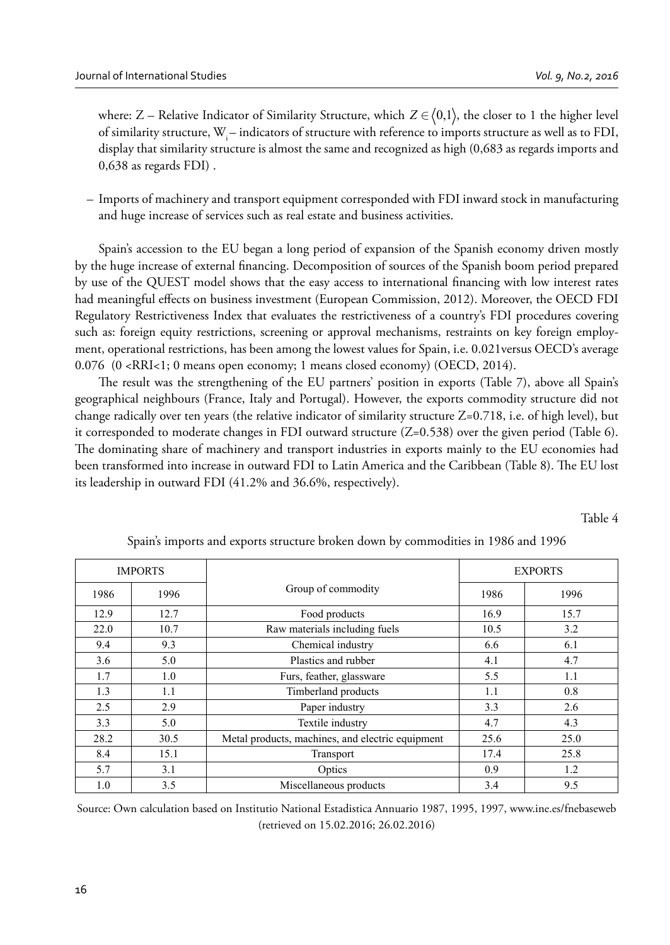where: Z – Relative Indicator of Similarity Structure, which  $Z \in \langle 0,1 \rangle$ , the closer to 1 the higher level of similarity structure, W<sub>i</sub> – indicators of structure with reference to imports structure as well as to FDI, display that similarity structure is almost the same and recognized as high (0,683 as regards imports and 0,638 as regards FDI) .

– Imports of machinery and transport equipment corresponded with FDI inward stock in manufacturing and huge increase of services such as real estate and business activities.

Spain's accession to the EU began a long period of expansion of the Spanish economy driven mostly by the huge increase of external financing. Decomposition of sources of the Spanish boom period prepared by use of the QUEST model shows that the easy access to international financing with low interest rates had meaningful effects on business investment (European Commission, 2012). Moreover, the OECD FDI Regulatory Restrictiveness Index that evaluates the restrictiveness of a country's FDI procedures covering such as: foreign equity restrictions, screening or approval mechanisms, restraints on key foreign employment, operational restrictions, has been among the lowest values for Spain, i.e. 0.021versus OECD's average 0.076 (0 <RRI<1; 0 means open economy; 1 means closed economy) (OECD, 2014).

The result was the strengthening of the EU partners' position in exports (Table 7), above all Spain's geographical neighbours (France, Italy and Portugal). However, the exports commodity structure did not change radically over ten years (the relative indicator of similarity structure Z=0.718, i.e. of high level), but it corresponded to moderate changes in FDI outward structure  $(Z=0.538)$  over the given period (Table 6). The dominating share of machinery and transport industries in exports mainly to the EU economies had been transformed into increase in outward FDI to Latin America and the Caribbean (Table 8). The EU lost its leadership in outward FDI (41.2% and 36.6%, respectively).

Table 4

| <b>IMPORTS</b> |      |                                                  | <b>EXPORTS</b> |      |  |
|----------------|------|--------------------------------------------------|----------------|------|--|
| 1986           | 1996 | Group of commodity                               | 1986           | 1996 |  |
| 12.9           | 12.7 | Food products                                    | 16.9           | 15.7 |  |
| 22.0           | 10.7 | Raw materials including fuels                    | 10.5           | 3.2  |  |
| 9.4            | 9.3  | Chemical industry                                | 6.6            | 6.1  |  |
| 3.6            | 5.0  | Plastics and rubber                              | 4.1            | 4.7  |  |
| 1.7            | 1.0  | Furs, feather, glassware                         | 5.5            | 1.1  |  |
| 1.3            | 1.1  | Timberland products                              | 1.1            | 0.8  |  |
| 2.5            | 2.9  | Paper industry                                   | 3.3            | 2.6  |  |
| 3.3            | 5.0  | Textile industry                                 | 4.7            | 4.3  |  |
| 28.2           | 30.5 | Metal products, machines, and electric equipment | 25.6           | 25.0 |  |
| 8.4            | 15.1 | Transport                                        | 17.4           | 25.8 |  |
| 5.7            | 3.1  | Optics                                           | 0.9            | 1.2  |  |
| 1.0            | 3.5  | Miscellaneous products                           | 3.4            | 9.5  |  |

Spain's imports and exports structure broken down by commodities in 1986 and 1996

Source: Own calculation based on Institutio National Estadistica Annuario 1987, 1995, 1997, www.ine.es/fnebaseweb (retrieved on 15.02.2016; 26.02.2016)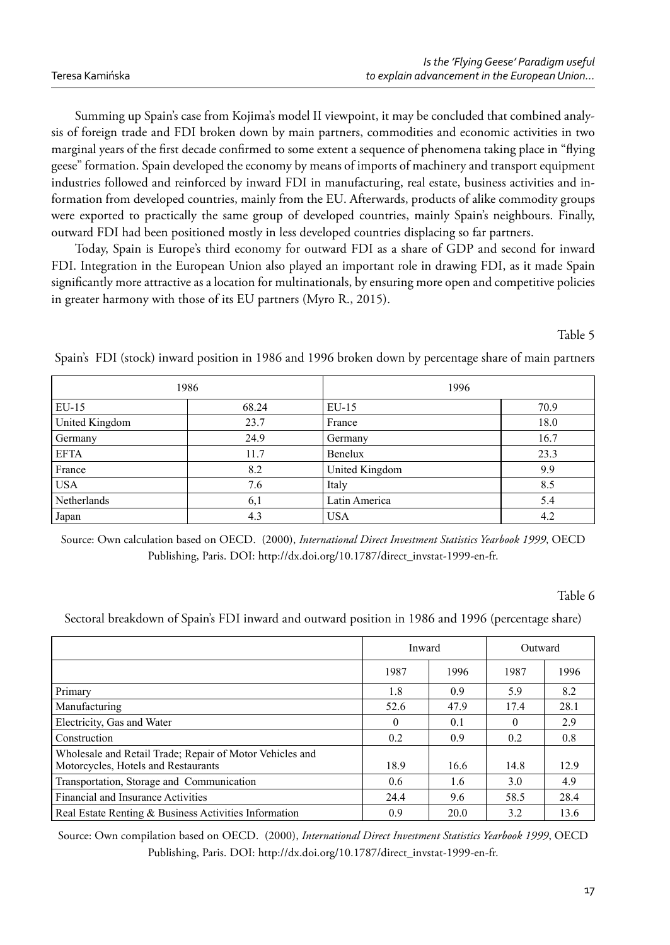Summing up Spain's case from Kojima's model II viewpoint, it may be concluded that combined analysis of foreign trade and FDI broken down by main partners, commodities and economic activities in two marginal years of the first decade confirmed to some extent a sequence of phenomena taking place in "flying geese" formation. Spain developed the economy by means of imports of machinery and transport equipment industries followed and reinforced by inward FDI in manufacturing, real estate, business activities and information from developed countries, mainly from the EU. Afterwards, products of alike commodity groups were exported to practically the same group of developed countries, mainly Spain's neighbours. Finally, outward FDI had been positioned mostly in less developed countries displacing so far partners.

Today, Spain is Europe's third economy for outward FDI as a share of GDP and second for inward FDI. Integration in the European Union also played an important role in drawing FDI, as it made Spain significantly more attractive as a location for multinationals, by ensuring more open and competitive policies in greater harmony with those of its EU partners (Myro R., 2015).

#### Table 5

Spain's FDI (stock) inward position in 1986 and 1996 broken down by percentage share of main partners

| 1986           |       | 1996           |      |  |
|----------------|-------|----------------|------|--|
| $EU-15$        | 68.24 | $EU-15$        | 70.9 |  |
| United Kingdom | 23.7  | France         | 18.0 |  |
| Germany        | 24.9  | Germany        | 16.7 |  |
| <b>EFTA</b>    | 11.7  | Benelux        | 23.3 |  |
| France         | 8.2   | United Kingdom | 9.9  |  |
| <b>USA</b>     | 7.6   | Italy          | 8.5  |  |
| Netherlands    | 6,1   | Latin America  | 5.4  |  |
| Japan          | 4.3   | <b>USA</b>     | 4.2  |  |

Source: Own calculation based on OECD. (2000), *International Direct Investment Statistics Yearbook 1999*, OECD Publishing, Paris. DOI: http://dx.doi.org/10.1787/direct\_invstat-1999-en-fr.

#### Table 6

Sectoral breakdown of Spain's FDI inward and outward position in 1986 and 1996 (percentage share)

|                                                                                                 |          | Inward |          | Outward |
|-------------------------------------------------------------------------------------------------|----------|--------|----------|---------|
|                                                                                                 | 1987     | 1996   | 1987     | 1996    |
| Primary                                                                                         | 1.8      | 0.9    | 5.9      | 8.2     |
| Manufacturing                                                                                   | 52.6     | 47.9   | 17.4     | 28.1    |
| Electricity, Gas and Water                                                                      | $\Omega$ | 0.1    | $\theta$ | 2.9     |
| Construction                                                                                    | 0.2      | 0.9    | 0.2      | 0.8     |
| Wholesale and Retail Trade; Repair of Motor Vehicles and<br>Motorcycles, Hotels and Restaurants | 18.9     | 16.6   | 14.8     | 12.9    |
| Transportation, Storage and Communication                                                       | 0.6      | 1.6    | 3.0      | 4.9     |
| Financial and Insurance Activities                                                              | 24.4     | 9.6    | 58.5     | 28.4    |
| Real Estate Renting & Business Activities Information                                           | 0.9      | 20.0   | 3.2      | 13.6    |

Source: Own compilation based on OECD. (2000), *International Direct Investment Statistics Yearbook 1999*, OECD Publishing, Paris. DOI: http://dx.doi.org/10.1787/direct\_invstat-1999-en-fr.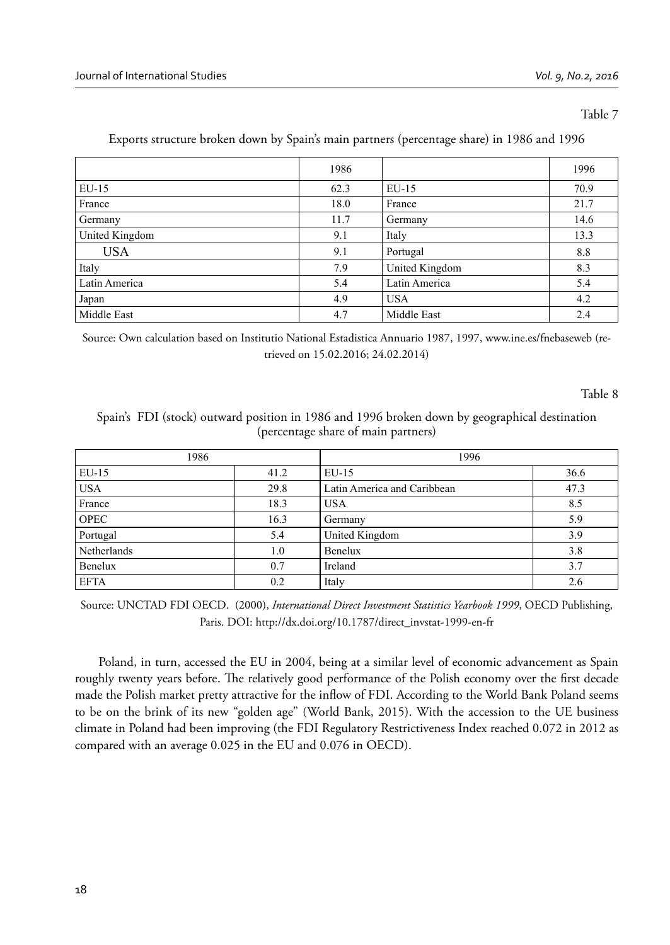#### Table 7

|                | 1986 |                | 1996 |
|----------------|------|----------------|------|
| $EU-15$        | 62.3 | $EU-15$        | 70.9 |
| France         | 18.0 | France         | 21.7 |
| Germany        | 11.7 | Germany        | 14.6 |
| United Kingdom | 9.1  | Italy          | 13.3 |
| <b>USA</b>     | 9.1  | Portugal       | 8.8  |
| Italy          | 7.9  | United Kingdom | 8.3  |
| Latin America  | 5.4  | Latin America  | 5.4  |
| Japan          | 4.9  | <b>USA</b>     | 4.2  |
| Middle East    | 4.7  | Middle East    | 2.4  |

## Exports structure broken down by Spain's main partners (percentage share) in 1986 and 1996

Source: Own calculation based on Institutio National Estadistica Annuario 1987, 1997, www.ine.es/fnebaseweb (retrieved on 15.02.2016; 24.02.2014)

Table 8

## Spain's FDI (stock) outward position in 1986 and 1996 broken down by geographical destination (percentage share of main partners)

| 1986        |      | 1996                        |      |  |
|-------------|------|-----------------------------|------|--|
| $EU-15$     | 41.2 | $EU-15$                     | 36.6 |  |
| <b>USA</b>  | 29.8 | Latin America and Caribbean | 47.3 |  |
| France      | 18.3 | USA                         | 8.5  |  |
| <b>OPEC</b> | 16.3 | Germany                     | 5.9  |  |
| Portugal    | 5.4  | United Kingdom              | 3.9  |  |
| Netherlands | 1.0  | Benelux                     | 3.8  |  |
| Benelux     | 0.7  | Ireland                     | 3.7  |  |
| <b>EFTA</b> | 0.2  | Italy                       | 2.6  |  |

Source: UNCTAD FDI OECD. (2000), *International Direct Investment Statistics Yearbook 1999*, OECD Publishing, Paris. DOI: http://dx.doi.org/10.1787/direct\_invstat-1999-en-fr

Poland, in turn, accessed the EU in 2004, being at a similar level of economic advancement as Spain roughly twenty years before. The relatively good performance of the Polish economy over the first decade made the Polish market pretty attractive for the inflow of FDI. According to the World Bank Poland seems to be on the brink of its new "golden age" (World Bank, 2015). With the accession to the UE business climate in Poland had been improving (the FDI Regulatory Restrictiveness Index reached 0.072 in 2012 as compared with an average 0.025 in the EU and 0.076 in OECD).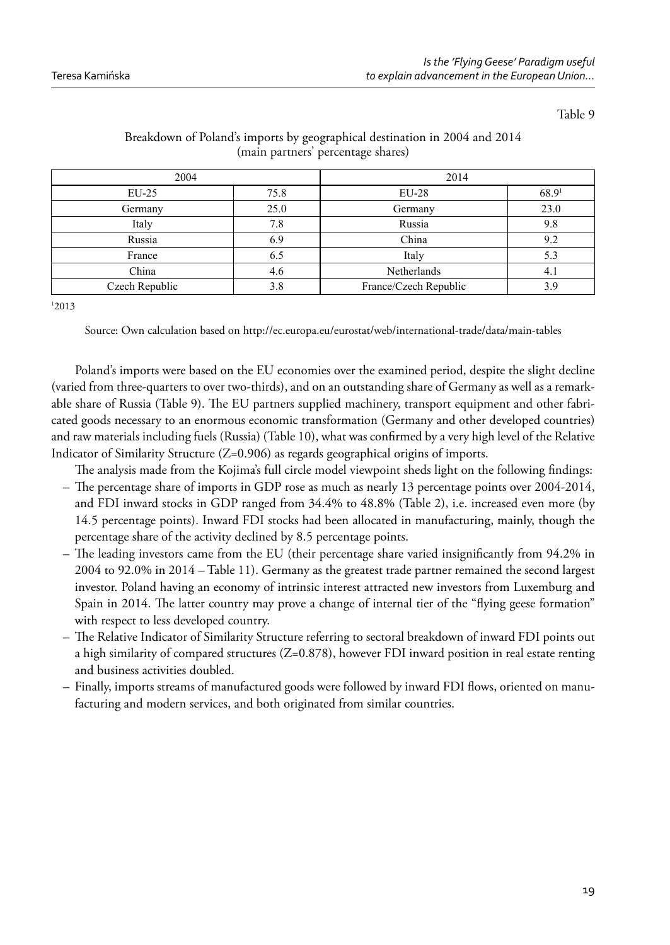Table 9

| 2004           |      | 2014                  |       |  |
|----------------|------|-----------------------|-------|--|
| $EU-25$        | 75.8 | $EU-28$               | 68.91 |  |
| Germany        | 25.0 | Germany               | 23.0  |  |
| Italy          | 7.8  | Russia                | 9.8   |  |
| Russia         | 6.9  | China                 | 9.2   |  |
| France         | 6.5  | Italy                 | 5.3   |  |
| China          | 4.6  | Netherlands           | 4.1   |  |
| Czech Republic | 3.8  | France/Czech Republic | 3.9   |  |

## Breakdown of Poland's imports by geographical destination in 2004 and 2014 (main partners' percentage shares)

1 2013

Source: Own calculation based on http://ec.europa.eu/eurostat/web/international-trade/data/main-tables

Poland's imports were based on the EU economies over the examined period, despite the slight decline (varied from three-quarters to over two-thirds), and on an outstanding share of Germany as well as a remarkable share of Russia (Table 9). The EU partners supplied machinery, transport equipment and other fabricated goods necessary to an enormous economic transformation (Germany and other developed countries) and raw materials including fuels (Russia) (Table 10), what was confirmed by a very high level of the Relative Indicator of Similarity Structure (Z=0.906) as regards geographical origins of imports.

The analysis made from the Kojima's full circle model viewpoint sheds light on the following findings:

- The percentage share of imports in GDP rose as much as nearly 13 percentage points over  $2004-2014$ , and FDI inward stocks in GDP ranged from 34.4% to 48.8% (Table 2), i.e. increased even more (by 14.5 percentage points). Inward FDI stocks had been allocated in manufacturing, mainly, though the percentage share of the activity declined by 8.5 percentage points.
- $-$  The leading investors came from the EU (their percentage share varied insignificantly from 94.2% in 2004 to 92.0% in 2014 – Table 11). Germany as the greatest trade partner remained the second largest investor. Poland having an economy of intrinsic interest attracted new investors from Luxemburg and Spain in 2014. The latter country may prove a change of internal tier of the "flying geese formation" with respect to less developed country.
- The Relative Indicator of Similarity Structure referring to sectoral breakdown of inward FDI points out a high similarity of compared structures (Z=0.878), however FDI inward position in real estate renting and business activities doubled.
- Finally, imports streams of manufactured goods were followed by inward FDI flows, oriented on manufacturing and modern services, and both originated from similar countries.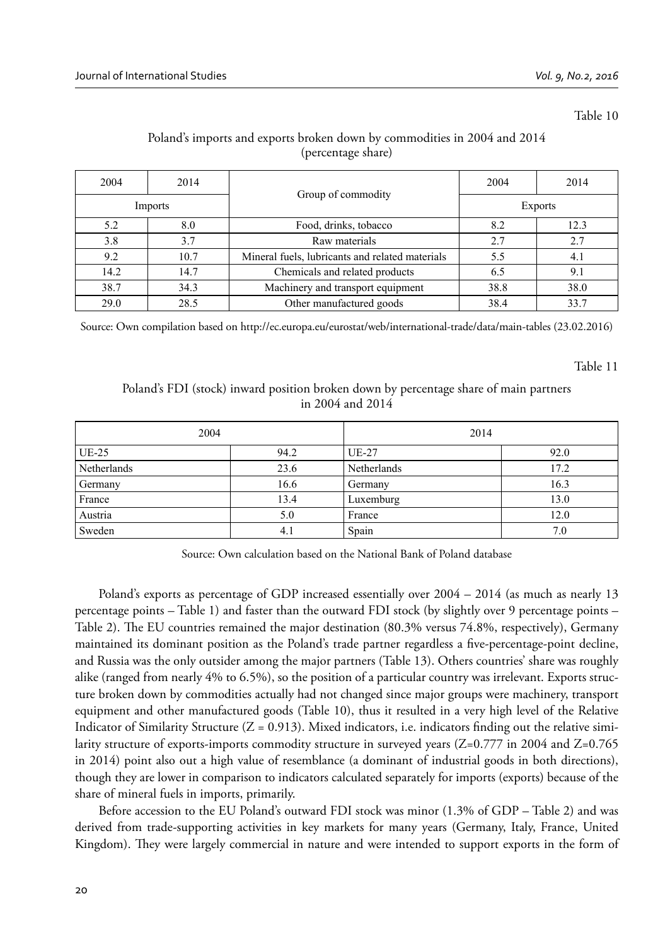#### Table 10

# Poland's imports and exports broken down by commodities in 2004 and 2014 (percentage share)

| 2004    | 2014 |                                                 | 2004           | 2014 |  |
|---------|------|-------------------------------------------------|----------------|------|--|
| Imports |      | Group of commodity                              | <b>Exports</b> |      |  |
| 5.2     | 8.0  | Food, drinks, tobacco                           | 8.2            | 12.3 |  |
| 3.8     | 3.7  | Raw materials                                   | 2.7            | 2.7  |  |
| 9.2     | 10.7 | Mineral fuels, lubricants and related materials | 5.5            | 4.1  |  |
| 14.2    | 14.7 | Chemicals and related products                  | 6.5            | 9.1  |  |
| 38.7    | 34.3 | Machinery and transport equipment               | 38.8           | 38.0 |  |
| 29.0    | 28.5 | Other manufactured goods                        | 38.4           | 33.7 |  |

Source: Own compilation based on http://ec.europa.eu/eurostat/web/international-trade/data/main-tables (23.02.2016)

Table 11

## Poland's FDI (stock) inward position broken down by percentage share of main partners in 2004 and 2014

| 2004        |      | 2014         |      |
|-------------|------|--------------|------|
| $UE-25$     | 94.2 | <b>UE-27</b> | 92.0 |
| Netherlands | 23.6 | Netherlands  | 17.2 |
| Germany     | 16.6 | Germany      | 16.3 |
| France      | 13.4 | Luxemburg    | 13.0 |
| Austria     | 5.0  | France       | 12.0 |
| Sweden      | 4.1  | Spain        | 7.0  |

Source: Own calculation based on the National Bank of Poland database

Poland's exports as percentage of GDP increased essentially over 2004 – 2014 (as much as nearly 13 percentage points – Table 1) and faster than the outward FDI stock (by slightly over 9 percentage points – Table 2). The EU countries remained the major destination (80.3% versus 74.8%, respectively), Germany maintained its dominant position as the Poland's trade partner regardless a five-percentage-point decline, and Russia was the only outsider among the major partners (Table 13). Others countries' share was roughly alike (ranged from nearly 4% to 6.5%), so the position of a particular country was irrelevant. Exports structure broken down by commodities actually had not changed since major groups were machinery, transport equipment and other manufactured goods (Table 10), thus it resulted in a very high level of the Relative Indicator of Similarity Structure  $(Z = 0.913)$ . Mixed indicators, i.e. indicators finding out the relative similarity structure of exports-imports commodity structure in surveyed years (Z=0.777 in 2004 and Z=0.765 in 2014) point also out a high value of resemblance (a dominant of industrial goods in both directions), though they are lower in comparison to indicators calculated separately for imports (exports) because of the share of mineral fuels in imports, primarily.

Before accession to the EU Poland's outward FDI stock was minor (1.3% of GDP – Table 2) and was derived from trade-supporting activities in key markets for many years (Germany, Italy, France, United Kingdom). They were largely commercial in nature and were intended to support exports in the form of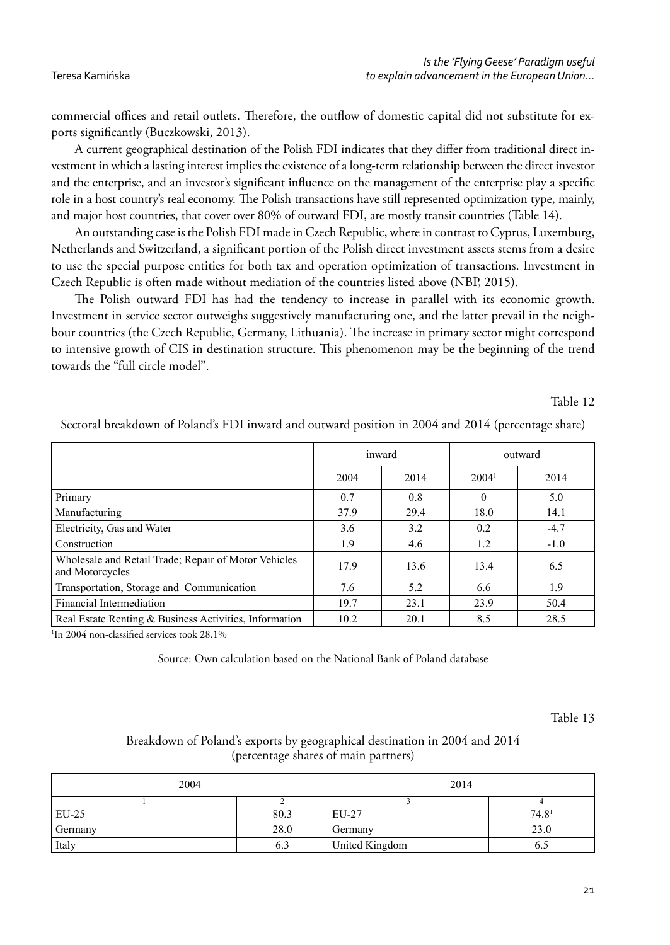commercial offices and retail outlets. Therefore, the outflow of domestic capital did not substitute for exports significantly (Buczkowski, 2013).

A current geographical destination of the Polish FDI indicates that they differ from traditional direct investment in which a lasting interest implies the existence of a long-term relationship between the direct investor and the enterprise, and an investor's significant influence on the management of the enterprise play a specific role in a host country's real economy. The Polish transactions have still represented optimization type, mainly, and major host countries, that cover over 80% of outward FDI, are mostly transit countries (Table 14).

An outstanding case is the Polish FDI made in Czech Republic, where in contrast to Cyprus, Luxemburg, Netherlands and Switzerland, a significant portion of the Polish direct investment assets stems from a desire to use the special purpose entities for both tax and operation optimization of transactions. Investment in Czech Republic is often made without mediation of the countries listed above (NBP, 2015).

The Polish outward FDI has had the tendency to increase in parallel with its economic growth. Investment in service sector outweighs suggestively manufacturing one, and the latter prevail in the neighbour countries (the Czech Republic, Germany, Lithuania). The increase in primary sector might correspond to intensive growth of CIS in destination structure. This phenomenon may be the beginning of the trend towards the "full circle model".

Table 12

|                                                                         |      | inward |                   | outward |
|-------------------------------------------------------------------------|------|--------|-------------------|---------|
|                                                                         | 2004 | 2014   | 2004 <sup>1</sup> | 2014    |
| Primary                                                                 | 0.7  | 0.8    | $\theta$          | 5.0     |
| Manufacturing                                                           | 37.9 | 29.4   | 18.0              | 14.1    |
| Electricity, Gas and Water                                              | 3.6  | 3.2    | 0.2               | $-4.7$  |
| Construction                                                            | 1.9  | 4.6    | 1.2               | $-1.0$  |
| Wholesale and Retail Trade; Repair of Motor Vehicles<br>and Motorcycles | 17.9 | 13.6   | 13.4              | 6.5     |
| Transportation, Storage and Communication                               | 7.6  | 5.2    | 6.6               | 1.9     |
| Financial Intermediation                                                | 19.7 | 23.1   | 23.9              | 50.4    |
| Real Estate Renting & Business Activities, Information                  | 10.2 | 20.1   | 8.5               | 28.5    |

Sectoral breakdown of Poland's FDI inward and outward position in 2004 and 2014 (percentage share)

<sup>1</sup>In 2004 non-classified services took 28.1%

Source: Own calculation based on the National Bank of Poland database

Table 13

# Breakdown of Poland's exports by geographical destination in 2004 and 2014 (percentage shares of main partners)

| 2004    |      | 2014           |                   |
|---------|------|----------------|-------------------|
|         |      |                |                   |
| $EU-25$ | 80.3 | EU-27          | 74.8 <sup>1</sup> |
| Germany | 28.0 | Germany        | 23.0              |
| Italy   | 6.3  | United Kingdom | 6.D               |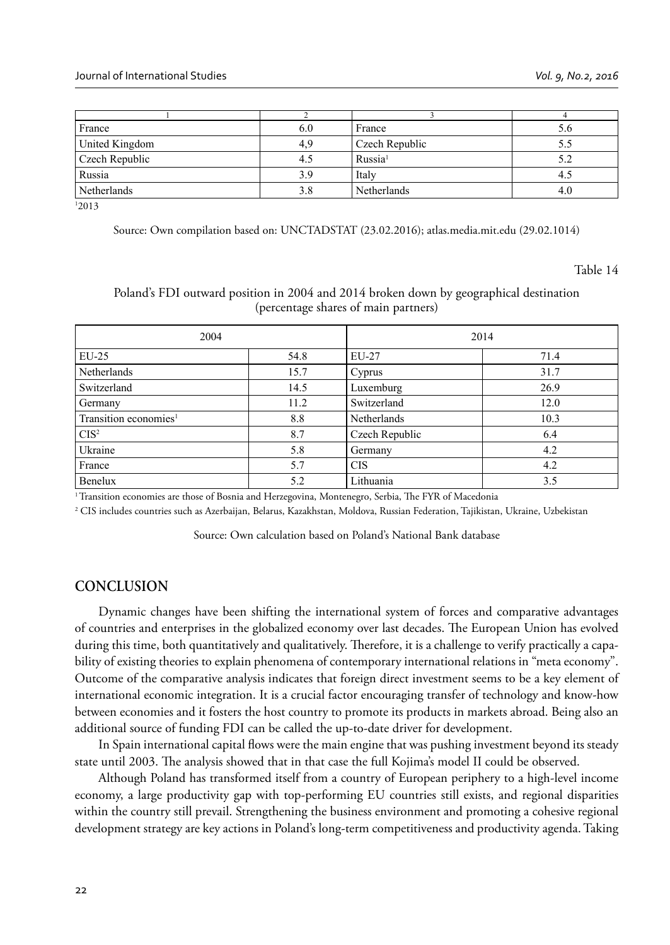| 6.0 | France              | D.O |
|-----|---------------------|-----|
| 4.9 | Czech Republic      |     |
|     | Russia <sup>1</sup> |     |
| 39  | Italy               |     |
| 3.8 | Netherlands         | 4.U |
|     |                     |     |

1 2013

Source: Own compilation based on: UNCTADSTAT (23.02.2016); atlas.media.mit.edu (29.02.1014)

Table 14

## Poland's FDI outward position in 2004 and 2014 broken down by geographical destination (percentage shares of main partners)

| 2004                                                                                                                       |          | 2014           |      |
|----------------------------------------------------------------------------------------------------------------------------|----------|----------------|------|
| $EU-25$                                                                                                                    | 54.8     | EU-27          | 71.4 |
| Netherlands                                                                                                                | 15.7     | Cyprus         | 31.7 |
| Switzerland                                                                                                                | 14.5     | Luxemburg      | 26.9 |
| Germany                                                                                                                    | 11.2     | Switzerland    | 12.0 |
| Transition economies <sup>1</sup>                                                                                          | 8.8      | Netherlands    | 10.3 |
| CIS <sup>2</sup>                                                                                                           | 8.7      | Czech Republic | 6.4  |
| Ukraine                                                                                                                    | 5.8      | Germany        | 4.2  |
| France                                                                                                                     | 5.7      | <b>CIS</b>     | 4.2  |
| Benelux<br>the contract of the contract of the contract of the contract of the contract of the contract of the contract of | 5.2<br>. | Lithuania<br>. | 3.5  |

<sup>1</sup> Transition economies are those of Bosnia and Herzegovina, Montenegro, Serbia, The FYR of Macedonia

2 CIS includes countries such as Azerbaijan, Belarus, Kazakhstan, Moldova, Russian Federation, Tajikistan, Ukraine, Uzbekistan

Source: Own calculation based on Poland's National Bank database

# **CONCLUSION**

Dynamic changes have been shifting the international system of forces and comparative advantages of countries and enterprises in the globalized economy over last decades. The European Union has evolved during this time, both quantitatively and qualitatively. Therefore, it is a challenge to verify practically a capability of existing theories to explain phenomena of contemporary international relations in "meta economy". Outcome of the comparative analysis indicates that foreign direct investment seems to be a key element of international economic integration. It is a crucial factor encouraging transfer of technology and know-how between economies and it fosters the host country to promote its products in markets abroad. Being also an additional source of funding FDI can be called the up-to-date driver for development.

In Spain international capital flows were the main engine that was pushing investment beyond its steady state until 2003. The analysis showed that in that case the full Kojima's model II could be observed.

Although Poland has transformed itself from a country of European periphery to a high-level income economy, a large productivity gap with top-performing EU countries still exists, and regional disparities within the country still prevail. Strengthening the business environment and promoting a cohesive regional development strategy are key actions in Poland's long-term competitiveness and productivity agenda. Taking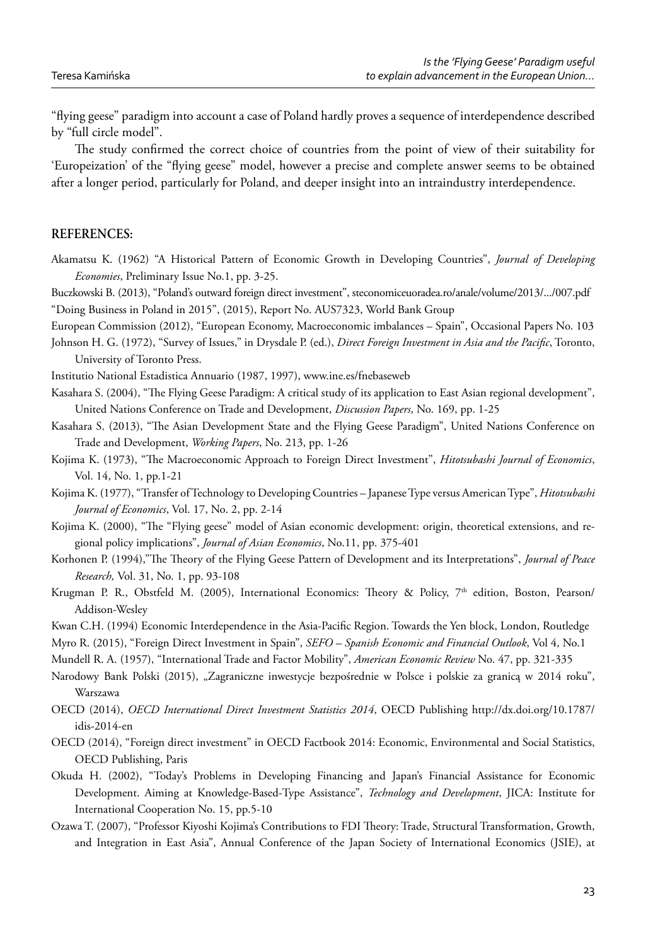"flying geese" paradigm into account a case of Poland hardly proves a sequence of interdependence described by "full circle model".

The study confirmed the correct choice of countries from the point of view of their suitability for 'Europeization' of the "flying geese" model, however a precise and complete answer seems to be obtained after a longer period, particularly for Poland, and deeper insight into an intraindustry interdependence.

## **REFERENCES:**

Akamatsu K. (1962) "A Historical Pattern of Economic Growth in Developing Countries", *Journal of Developing Economies*, Preliminary Issue No.1, pp. 3-25.

Buczkowski B. (2013), "Poland's outward foreign direct investment", steconomiceuoradea.ro/anale/volume/2013/.../007.pdf "Doing Business in Poland in 2015", (2015), Report No. AUS7323, World Bank Group

European Commission (2012), "European Economy, Macroeconomic imbalances – Spain", Occasional Papers No. 103

Johnson H. G. (1972), "Survey of Issues," in Drysdale P. (ed.), *Direct Foreign Investment in Asia and the Pacific*, Toronto, University of Toronto Press.

Institutio National Estadistica Annuario (1987, 1997), www.ine.es/fnebaseweb

Kasahara S. (2004), "The Flying Geese Paradigm: A critical study of its application to East Asian regional development", United Nations Conference on Trade and Development, *Discussion Papers*, No. 169, pp. 1-25

Kasahara S. (2013), "The Asian Development State and the Flying Geese Paradigm", United Nations Conference on Trade and Development, *Working Papers*, No. 213, pp. 1-26

Kojima K. (1973), "The Macroeconomic Approach to Foreign Direct Investment", *Hitotsubashi Journal of Economics*, Vol. 14, No. 1, pp.1-21

Kojima K. (1977), "Transfer of Technology to Developing Countries – Japanese Type versus American Type", *Hitotsubashi Journal of Economics*, Vol. 17, No. 2, pp. 2-14

- Kojima K. (2000), "The "Flying geese" model of Asian economic development: origin, theoretical extensions, and regional policy implications", *Journal of Asian Economics*, No.11, pp. 375-401
- Korhonen P. (1994),"The Theory of the Flying Geese Pattern of Development and its Interpretations", *Journal of Peace Research,* Vol. 31, No. 1, pp. 93-108
- Krugman P. R., Obstfeld M. (2005), International Economics: Theory & Policy, 7<sup>th</sup> edition, Boston, Pearson/ Addison-Wesley

Kwan C.H. (1994) Economic Interdependence in the Asia-Pacific Region. Towards the Yen block, London, Routledge

Myro R. (2015), "Foreign Direct Investment in Spain", *SEFO – Spanish Economic and Financial Outlook*, Vol 4, No.1

Mundell R. A. (1957), "International Trade and Factor Mobility", *American Economic Review* No. 47, pp. 321-335

- Narodowy Bank Polski (2015), "Zagraniczne inwestycje bezpośrednie w Polsce i polskie za granicą w 2014 roku", Warszawa
- OECD (2014), *OECD International Direct Investment Statistics 2014*, OECD Publishing http://dx.doi.org/10.1787/ idis-2014-en
- OECD (2014), "Foreign direct investment" in OECD Factbook 2014: Economic, Environmental and Social Statistics, OECD Publishing, Paris
- Okuda H. (2002), "Today's Problems in Developing Financing and Japan's Financial Assistance for Economic Development. Aiming at Knowledge-Based-Type Assistance", *Technology and Development*, JICA: Institute for International Cooperation No. 15, pp.5-10
- Ozawa T. (2007), "Professor Kiyoshi Kojima's Contributions to FDI Theory: Trade, Structural Transformation, Growth, and Integration in East Asia", Annual Conference of the Japan Society of International Economics (JSIE), at